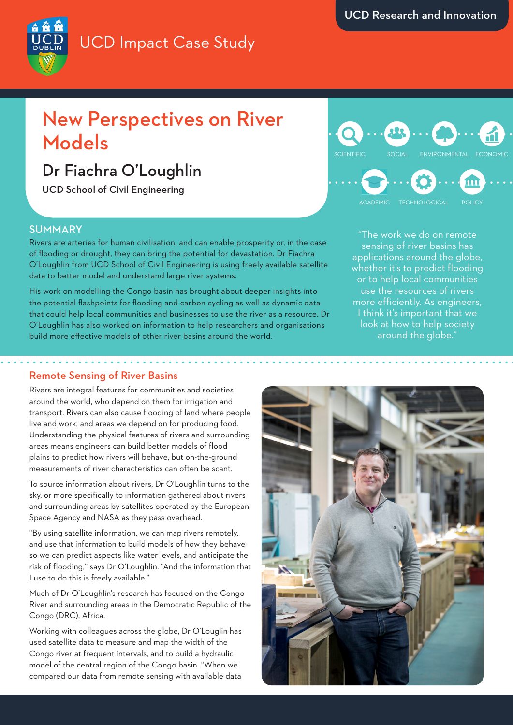## UCD Impact Case Study

## New Perspectives on River Models

### Dr Fiachra O'Loughlin

UCD School of Civil Engineering

#### SUMMARY

Rivers are arteries for human civilisation, and can enable prosperity or, in the case of flooding or drought, they can bring the potential for devastation. Dr Fiachra O'Loughlin from UCD School of Civil Engineering is using freely available satellite data to better model and understand large river systems.

His work on modelling the Congo basin has brought about deeper insights into the potential flashpoints for flooding and carbon cycling as well as dynamic data that could help local communities and businesses to use the river as a resource. Dr O'Loughlin has also worked on information to help researchers and organisations build more effective models of other river basins around the world.

# SCIENTIFIC SOCIAL ENVIRONMENTAL ECONOMIC

"The work we do on remote sensing of river basins has applications around the globe, whether it's to predict flooding or to help local communities use the resources of rivers more efficiently. As engineers, I think it's important that we look at how to help society around the globe."

#### Remote Sensing of River Basins

Rivers are integral features for communities and societies around the world, who depend on them for irrigation and transport. Rivers can also cause flooding of land where people live and work, and areas we depend on for producing food. Understanding the physical features of rivers and surrounding areas means engineers can build better models of flood plains to predict how rivers will behave, but on-the-ground measurements of river characteristics can often be scant.

To source information about rivers, Dr O'Loughlin turns to the sky, or more specifically to information gathered about rivers and surrounding areas by satellites operated by the European Space Agency and NASA as they pass overhead.

"By using satellite information, we can map rivers remotely, and use that information to build models of how they behave so we can predict aspects like water levels, and anticipate the risk of flooding," says Dr O'Loughlin. "And the information that I use to do this is freely available."

Much of Dr O'Loughlin's research has focused on the Congo River and surrounding areas in the Democratic Republic of the Congo (DRC), Africa.

Working with colleagues across the globe, Dr O'Louglin has used satellite data to measure and map the width of the Congo river at frequent intervals, and to build a hydraulic model of the central region of the Congo basin. "When we compared our data from remote sensing with available data



 $\frac{1}{2}$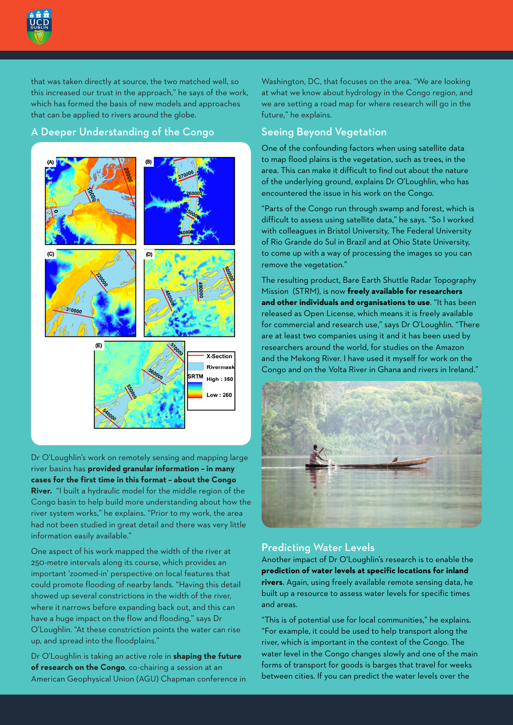

that was taken directly at source, the two matched well, so this increased our trust in the approach," he says of the work, which has formed the basis of new models and approaches that can be applied to rivers around the globe.

#### A Deeper Understanding of the Congo



Dr O'Loughlin's work on remotely sensing and mapping large river basins has **provided granular information – in many cases for the first time in this format – about the Congo River.** "I built a hydraulic model for the middle region of the Congo basin to help build more understanding about how the river system works," he explains. "Prior to my work, the area had not been studied in great detail and there was very little information easily available."

One aspect of his work mapped the width of the river at 250-metre intervals along its course, which provides an important 'zoomed-in' perspective on local features that could promote flooding of nearby lands. "Having this detail showed up several constrictions in the width of the river, where it narrows before expanding back out, and this can have a huge impact on the flow and flooding," says Dr O'Loughlin. "At these constriction points the water can rise up, and spread into the floodplains."

Dr O'Loughlin is taking an active role in **shaping the future of research on the Congo**, co-chairing a session at an American Geophysical Union (AGU) Chapman conference in Washington, DC, that focuses on the area. "We are looking at what we know about hydrology in the Congo region, and we are setting a road map for where research will go in the future," he explains.

#### Seeing Beyond Vegetation

One of the confounding factors when using satellite data to map flood plains is the vegetation, such as trees, in the area. This can make it difficult to find out about the nature of the underlying ground, explains Dr O'Loughlin, who has encountered the issue in his work on the Congo.

"Parts of the Congo run through swamp and forest, which is difficult to assess using satellite data," he says. "So I worked with colleagues in Bristol University, The Federal University of Rio Grande do Sul in Brazil and at Ohio State University, to come up with a way of processing the images so you can remove the vegetation."

The resulting product, Bare Earth Shuttle Radar Topography Mission (STRM), is now **freely available for researchers and other individuals and organisations to use**. "It has been released as Open License, which means it is freely available for commercial and research use," says Dr O'Loughlin. "There are at least two companies using it and it has been used by researchers around the world, for studies on the Amazon and the Mekong River. I have used it myself for work on the Congo and on the Volta River in Ghana and rivers in Ireland."



#### Predicting Water Levels

Another impact of Dr O'Loughlin's research is to enable the **prediction of water levels at specific locations for inland rivers**. Again, using freely available remote sensing data, he built up a resource to assess water levels for specific times and areas.

"This is of potential use for local communities," he explains. "For example, it could be used to help transport along the river, which is important in the context of the Congo. The water level in the Congo changes slowly and one of the main forms of transport for goods is barges that travel for weeks between cities. If you can predict the water levels over the